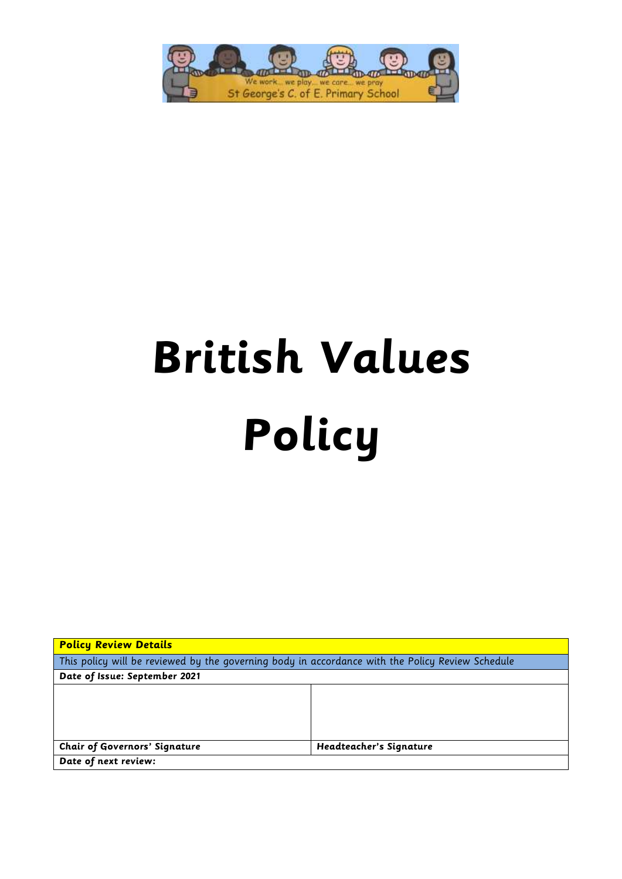

# **British Values Policy**

| <b>Policy Review Details</b>                                                                     |                         |
|--------------------------------------------------------------------------------------------------|-------------------------|
| This policy will be reviewed by the governing body in accordance with the Policy Review Schedule |                         |
| Date of Issue: September 2021                                                                    |                         |
|                                                                                                  |                         |
|                                                                                                  |                         |
|                                                                                                  |                         |
|                                                                                                  |                         |
| <b>Chair of Governors' Signature</b>                                                             | Headteacher's Signature |
| Date of next review:                                                                             |                         |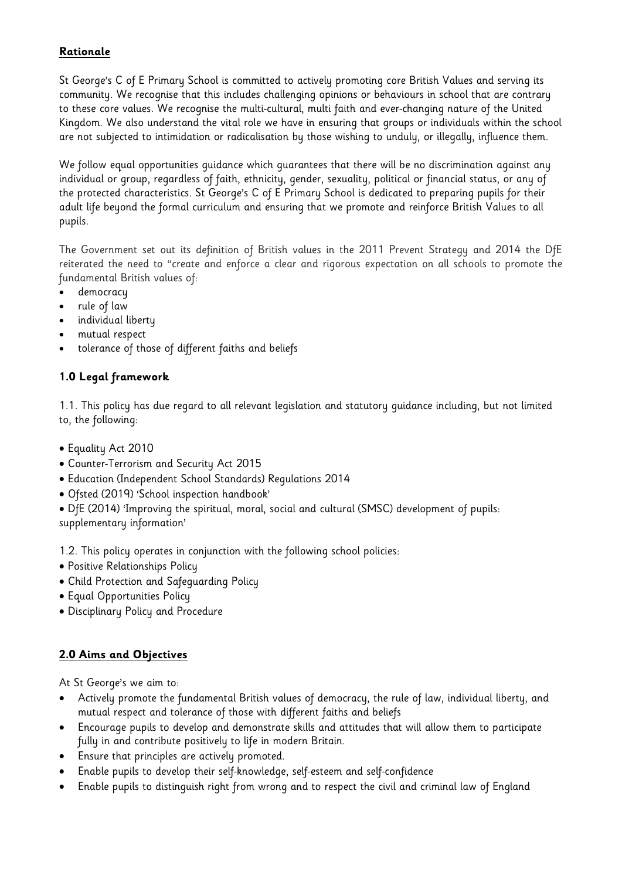# **Rationale**

St George's C of E Primary School is committed to actively promoting core British Values and serving its community. We recognise that this includes challenging opinions or behaviours in school that are contrary to these core values. We recognise the multi-cultural, multi faith and ever-changing nature of the United Kingdom. We also understand the vital role we have in ensuring that groups or individuals within the school are not subjected to intimidation or radicalisation by those wishing to unduly, or illegally, influence them.

We follow equal opportunities guidance which guarantees that there will be no discrimination against any individual or group, regardless of faith, ethnicity, gender, sexuality, political or financial status, or any of the protected characteristics. St George's C of E Primary School is dedicated to preparing pupils for their adult life beyond the formal curriculum and ensuring that we promote and reinforce British Values to all pupils.

The Government set out its definition of British values in the 2011 Prevent Strategy and 2014 the DfE reiterated the need to "create and enforce a clear and rigorous expectation on all schools to promote the fundamental British values of:

- democracy
- rule of law
- individual liberty
- mutual respect
- tolerance of those of different faiths and beliefs

# **1.0 Legal framework**

1.1. This policy has due regard to all relevant legislation and statutory guidance including, but not limited to, the following:

- Equality Act 2010
- Counter-Terrorism and Security Act 2015
- Education (Independent School Standards) Regulations 2014
- Ofsted (2019) 'School inspection handbook'

DfE (2014) 'Improving the spiritual, moral, social and cultural (SMSC) development of pupils:

supplementary information'

1.2. This policy operates in conjunction with the following school policies:

- Positive Relationships Policy
- Child Protection and Safeguarding Policy
- Equal Opportunities Policy
- Disciplinary Policy and Procedure

# **2.0 Aims and Objectives**

At St George's we aim to:

- Actively promote the fundamental British values of democracy, the rule of law, individual liberty, and mutual respect and tolerance of those with different faiths and beliefs
- Encourage pupils to develop and demonstrate skills and attitudes that will allow them to participate fully in and contribute positively to life in modern Britain.
- Ensure that principles are actively promoted.
- Enable pupils to develop their self-knowledge, self-esteem and self-confidence
- Enable pupils to distinguish right from wrong and to respect the civil and criminal law of England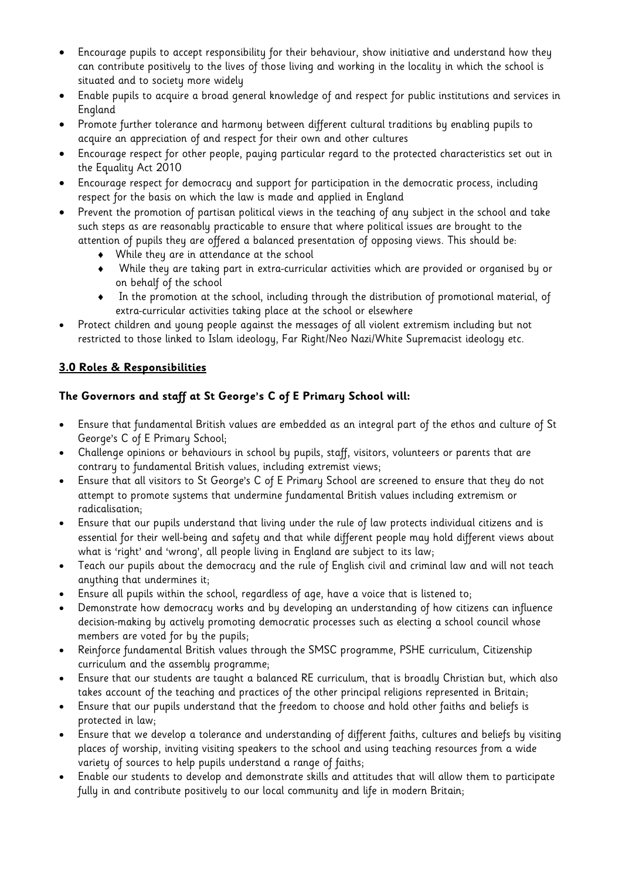- Encourage pupils to accept responsibility for their behaviour, show initiative and understand how they can contribute positively to the lives of those living and working in the locality in which the school is situated and to society more widely
- Enable pupils to acquire a broad general knowledge of and respect for public institutions and services in England
- Promote further tolerance and harmony between different cultural traditions by enabling pupils to acquire an appreciation of and respect for their own and other cultures
- Encourage respect for other people, paying particular regard to the protected characteristics set out in the Equality Act 2010
- Encourage respect for democracy and support for participation in the democratic process, including respect for the basis on which the law is made and applied in England
- Prevent the promotion of partisan political views in the teaching of any subject in the school and take such steps as are reasonably practicable to ensure that where political issues are brought to the attention of pupils they are offered a balanced presentation of opposing views. This should be:
	- While they are in attendance at the school
	- While they are taking part in extra-curricular activities which are provided or organised by or on behalf of the school
	- In the promotion at the school, including through the distribution of promotional material, of extra-curricular activities taking place at the school or elsewhere
- Protect children and young people against the messages of all violent extremism including but not restricted to those linked to Islam ideology, Far Right/Neo Nazi/White Supremacist ideology etc.

# **3.0 Roles & Responsibilities**

# **The Governors and staff at St George's C of E Primary School will:**

- Ensure that fundamental British values are embedded as an integral part of the ethos and culture of St George's C of E Primary School;
- Challenge opinions or behaviours in school by pupils, staff, visitors, volunteers or parents that are contrary to fundamental British values, including extremist views;
- Ensure that all visitors to St George's C of E Primary School are screened to ensure that they do not attempt to promote systems that undermine fundamental British values including extremism or radicalisation;
- Ensure that our pupils understand that living under the rule of law protects individual citizens and is essential for their well-being and safety and that while different people may hold different views about what is 'right' and 'wrong', all people living in England are subject to its law;
- Teach our pupils about the democracy and the rule of English civil and criminal law and will not teach anything that undermines it;
- Ensure all pupils within the school, regardless of age, have a voice that is listened to;
- Demonstrate how democracy works and by developing an understanding of how citizens can influence decision-making by actively promoting democratic processes such as electing a school council whose members are voted for by the pupils;
- Reinforce fundamental British values through the SMSC programme, PSHE curriculum, Citizenship curriculum and the assembly programme;
- Ensure that our students are taught a balanced RE curriculum, that is broadly Christian but, which also takes account of the teaching and practices of the other principal religions represented in Britain;
- Ensure that our pupils understand that the freedom to choose and hold other faiths and beliefs is protected in law;
- Ensure that we develop a tolerance and understanding of different faiths, cultures and beliefs by visiting places of worship, inviting visiting speakers to the school and using teaching resources from a wide variety of sources to help pupils understand a range of faiths;
- Enable our students to develop and demonstrate skills and attitudes that will allow them to participate fully in and contribute positively to our local community and life in modern Britain;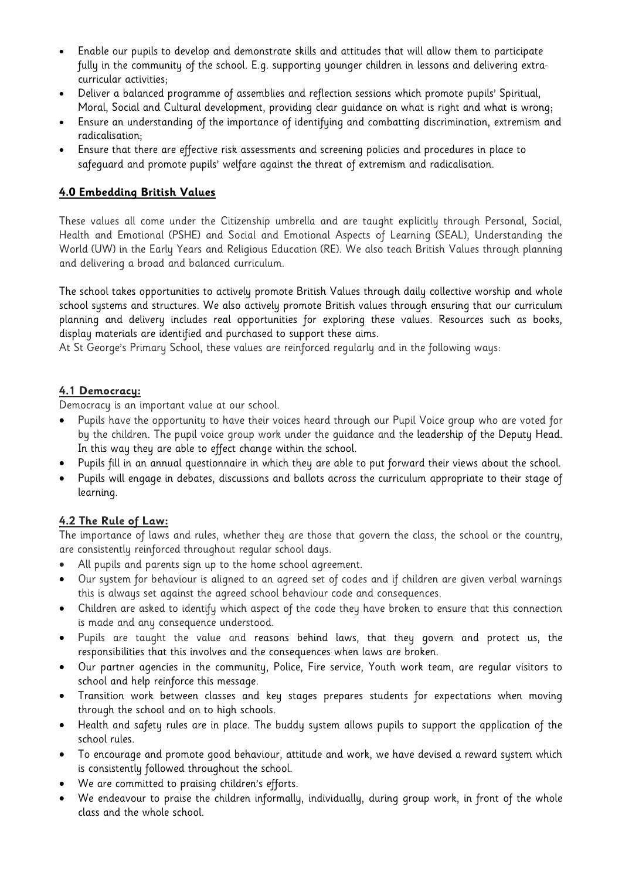- Enable our pupils to develop and demonstrate skills and attitudes that will allow them to participate fully in the community of the school. E.g. supporting younger children in lessons and delivering extracurricular activities;
- Deliver a balanced programme of assemblies and reflection sessions which promote pupils' Spiritual, Moral, Social and Cultural development, providing clear guidance on what is right and what is wrong;
- Ensure an understanding of the importance of identifying and combatting discrimination, extremism and radicalisation;
- Ensure that there are effective risk assessments and screening policies and procedures in place to safeguard and promote pupils' welfare against the threat of extremism and radicalisation.

# **4.0 Embedding British Values**

These values all come under the Citizenship umbrella and are taught explicitly through Personal, Social, Health and Emotional (PSHE) and Social and Emotional Aspects of Learning (SEAL), Understanding the World (UW) in the Early Years and Religious Education (RE). We also teach British Values through planning and delivering a broad and balanced curriculum.

The school takes opportunities to actively promote British Values through daily collective worship and whole school systems and structures. We also actively promote British values through ensuring that our curriculum planning and delivery includes real opportunities for exploring these values. Resources such as books, display materials are identified and purchased to support these aims.

At St George's Primary School, these values are reinforced regularly and in the following ways:

#### **4.1 Democracy:**

Democracy is an important value at our school.

- Pupils have the opportunity to have their voices heard through our Pupil Voice group who are voted for by the children. The pupil voice group work under the guidance and the leadership of the Deputy Head. In this way they are able to effect change within the school.
- Pupils fill in an annual questionnaire in which they are able to put forward their views about the school.
- Pupils will engage in debates, discussions and ballots across the curriculum appropriate to their stage of learning.

# **4.2 The Rule of Law:**

The importance of laws and rules, whether they are those that govern the class, the school or the country, are consistently reinforced throughout regular school days.

- All pupils and parents sign up to the home school agreement.
- Our system for behaviour is aligned to an agreed set of codes and if children are given verbal warnings this is always set against the agreed school behaviour code and consequences.
- Children are asked to identify which aspect of the code they have broken to ensure that this connection is made and any consequence understood.
- Pupils are taught the value and reasons behind laws, that they govern and protect us, the responsibilities that this involves and the consequences when laws are broken.
- Our partner agencies in the community, Police, Fire service, Youth work team, are regular visitors to school and help reinforce this message.
- Transition work between classes and key stages prepares students for expectations when moving through the school and on to high schools.
- Health and safety rules are in place. The buddy system allows pupils to support the application of the school rules.
- To encourage and promote good behaviour, attitude and work, we have devised a reward system which is consistently followed throughout the school.
- We are committed to praising children's efforts.
- We endeavour to praise the children informally, individually, during group work, in front of the whole class and the whole school.